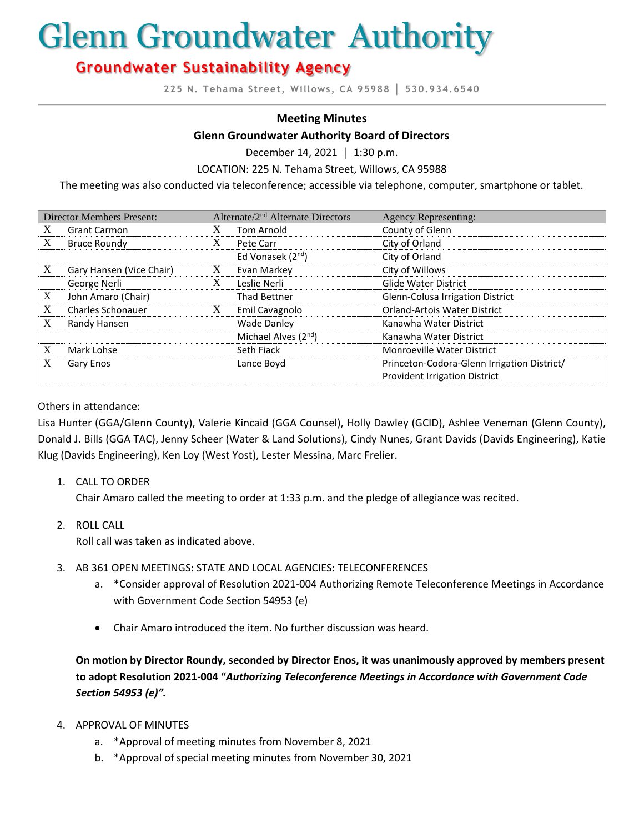# Glenn Groundwater Authority

# **Groundwater Sustainability Agency**

**225 N. Tehama Street, Willows, CA 95988 │ 530.934.6540**

#### **Meeting Minutes**

#### **Glenn Groundwater Authority Board of Directors**

December 14, 2021 **│** 1:30 p.m.

LOCATION: 225 N. Tehama Street, Willows, CA 95988

The meeting was also conducted via teleconference; accessible via telephone, computer, smartphone or tablet.

| <b>Director Members Present:</b> |                          | Alternate/2 <sup>nd</sup> Alternate Directors |                                  | <b>Agency Representing:</b>                 |
|----------------------------------|--------------------------|-----------------------------------------------|----------------------------------|---------------------------------------------|
| X                                | <b>Grant Carmon</b>      | X                                             | <b>Tom Arnold</b>                | County of Glenn                             |
| X                                | <b>Bruce Roundy</b>      | X                                             | Pete Carr                        | City of Orland                              |
|                                  |                          |                                               | Ed Vonasek $(2^{nd})$            | City of Orland                              |
| X                                | Gary Hansen (Vice Chair) | X                                             | Evan Markey                      | City of Willows                             |
|                                  | George Nerli             | X                                             | Leslie Nerli                     | <b>Glide Water District</b>                 |
| X                                | John Amaro (Chair)       |                                               | <b>Thad Bettner</b>              | Glenn-Colusa Irrigation District            |
| X                                | <b>Charles Schonauer</b> | X                                             | Emil Cavagnolo                   | <b>Orland-Artois Water District</b>         |
| X                                | Randy Hansen             |                                               | <b>Wade Danley</b>               | Kanawha Water District                      |
|                                  |                          |                                               | Michael Alves (2 <sup>nd</sup> ) | Kanawha Water District                      |
| X                                | Mark Lohse               |                                               | Seth Fiack                       | <b>Monroeville Water District</b>           |
| Χ                                | Gary Enos                |                                               | Lance Boyd                       | Princeton-Codora-Glenn Irrigation District/ |
|                                  |                          |                                               |                                  | <b>Provident Irrigation District</b>        |

#### Others in attendance:

Lisa Hunter (GGA/Glenn County), Valerie Kincaid (GGA Counsel), Holly Dawley (GCID), Ashlee Veneman (Glenn County), Donald J. Bills (GGA TAC), Jenny Scheer (Water & Land Solutions), Cindy Nunes, Grant Davids (Davids Engineering), Katie Klug (Davids Engineering), Ken Loy (West Yost), Lester Messina, Marc Frelier.

1. CALL TO ORDER

Chair Amaro called the meeting to order at 1:33 p.m. and the pledge of allegiance was recited.

2. ROLL CALL

Roll call was taken as indicated above.

- 3. AB 361 OPEN MEETINGS: STATE AND LOCAL AGENCIES: TELECONFERENCES
	- a. \*Consider approval of Resolution 2021-004 Authorizing Remote Teleconference Meetings in Accordance with Government Code Section 54953 (e)
	- Chair Amaro introduced the item. No further discussion was heard.

**On motion by Director Roundy, seconded by Director Enos, it was unanimously approved by members present to adopt Resolution 2021-004 "***Authorizing Teleconference Meetings in Accordance with Government Code Section 54953 (e)".*

- 4. APPROVAL OF MINUTES
	- a. \*Approval of meeting minutes from November 8, 2021
	- b. \*Approval of special meeting minutes from November 30, 2021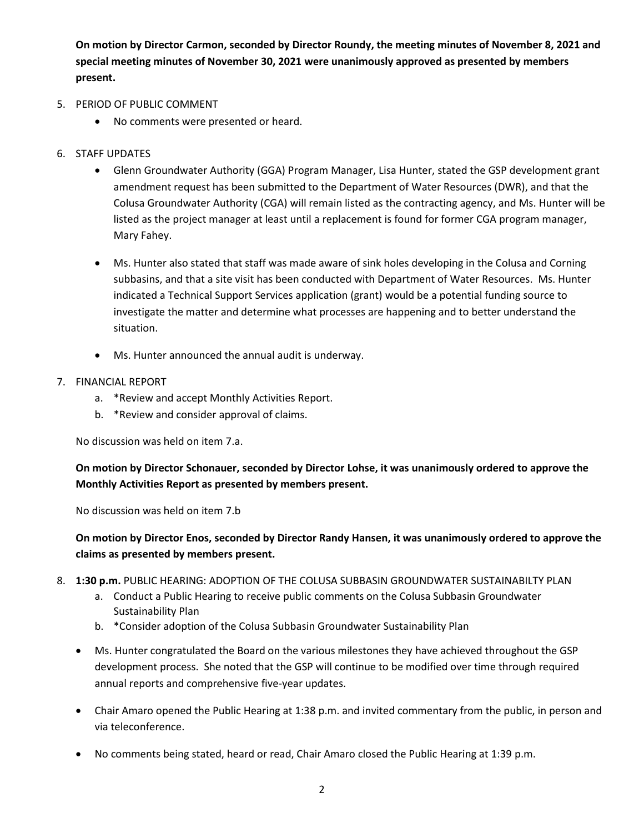**On motion by Director Carmon, seconded by Director Roundy, the meeting minutes of November 8, 2021 and special meeting minutes of November 30, 2021 were unanimously approved as presented by members present.**

- 5. PERIOD OF PUBLIC COMMENT
	- No comments were presented or heard.
- 6. STAFF UPDATES
	- Glenn Groundwater Authority (GGA) Program Manager, Lisa Hunter, stated the GSP development grant amendment request has been submitted to the Department of Water Resources (DWR), and that the Colusa Groundwater Authority (CGA) will remain listed as the contracting agency, and Ms. Hunter will be listed as the project manager at least until a replacement is found for former CGA program manager, Mary Fahey.
	- Ms. Hunter also stated that staff was made aware of sink holes developing in the Colusa and Corning subbasins, and that a site visit has been conducted with Department of Water Resources. Ms. Hunter indicated a Technical Support Services application (grant) would be a potential funding source to investigate the matter and determine what processes are happening and to better understand the situation.
	- Ms. Hunter announced the annual audit is underway.
- 7. FINANCIAL REPORT
	- a. \*Review and accept Monthly Activities Report.
	- b. \*Review and consider approval of claims.

No discussion was held on item 7.a.

**On motion by Director Schonauer, seconded by Director Lohse, it was unanimously ordered to approve the Monthly Activities Report as presented by members present.** 

No discussion was held on item 7.b

# **On motion by Director Enos, seconded by Director Randy Hansen, it was unanimously ordered to approve the claims as presented by members present.**

- 8. **1:30 p.m.** PUBLIC HEARING: ADOPTION OF THE COLUSA SUBBASIN GROUNDWATER SUSTAINABILTY PLAN
	- a. Conduct a Public Hearing to receive public comments on the Colusa Subbasin Groundwater Sustainability Plan
	- b. \*Consider adoption of the Colusa Subbasin Groundwater Sustainability Plan
	- Ms. Hunter congratulated the Board on the various milestones they have achieved throughout the GSP development process. She noted that the GSP will continue to be modified over time through required annual reports and comprehensive five-year updates.
	- Chair Amaro opened the Public Hearing at 1:38 p.m. and invited commentary from the public, in person and via teleconference.
	- No comments being stated, heard or read, Chair Amaro closed the Public Hearing at 1:39 p.m.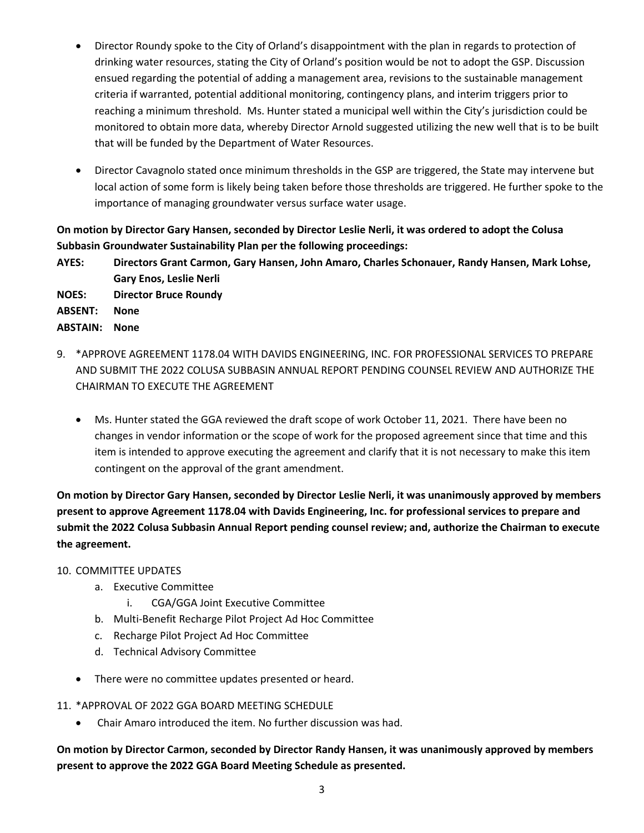- Director Roundy spoke to the City of Orland's disappointment with the plan in regards to protection of drinking water resources, stating the City of Orland's position would be not to adopt the GSP. Discussion ensued regarding the potential of adding a management area, revisions to the sustainable management criteria if warranted, potential additional monitoring, contingency plans, and interim triggers prior to reaching a minimum threshold. Ms. Hunter stated a municipal well within the City's jurisdiction could be monitored to obtain more data, whereby Director Arnold suggested utilizing the new well that is to be built that will be funded by the Department of Water Resources.
- Director Cavagnolo stated once minimum thresholds in the GSP are triggered, the State may intervene but local action of some form is likely being taken before those thresholds are triggered. He further spoke to the importance of managing groundwater versus surface water usage.

# **On motion by Director Gary Hansen, seconded by Director Leslie Nerli, it was ordered to adopt the Colusa Subbasin Groundwater Sustainability Plan per the following proceedings:**

**AYES: Directors Grant Carmon, Gary Hansen, John Amaro, Charles Schonauer, Randy Hansen, Mark Lohse, Gary Enos, Leslie Nerli** 

**NOES: Director Bruce Roundy**

**ABSENT: None**

**ABSTAIN: None** 

- 9. \*APPROVE AGREEMENT 1178.04 WITH DAVIDS ENGINEERING, INC. FOR PROFESSIONAL SERVICES TO PREPARE AND SUBMIT THE 2022 COLUSA SUBBASIN ANNUAL REPORT PENDING COUNSEL REVIEW AND AUTHORIZE THE CHAIRMAN TO EXECUTE THE AGREEMENT
	- Ms. Hunter stated the GGA reviewed the draft scope of work October 11, 2021. There have been no changes in vendor information or the scope of work for the proposed agreement since that time and this item is intended to approve executing the agreement and clarify that it is not necessary to make this item contingent on the approval of the grant amendment.

**On motion by Director Gary Hansen, seconded by Director Leslie Nerli, it was unanimously approved by members present to approve Agreement 1178.04 with Davids Engineering, Inc. for professional services to prepare and submit the 2022 Colusa Subbasin Annual Report pending counsel review; and, authorize the Chairman to execute the agreement.** 

# 10. COMMITTEE UPDATES

- a. Executive Committee
	- i. CGA/GGA Joint Executive Committee
- b. Multi-Benefit Recharge Pilot Project Ad Hoc Committee
- c. Recharge Pilot Project Ad Hoc Committee
- d. Technical Advisory Committee
- There were no committee updates presented or heard.
- 11. \*APPROVAL OF 2022 GGA BOARD MEETING SCHEDULE
	- Chair Amaro introduced the item. No further discussion was had.

**On motion by Director Carmon, seconded by Director Randy Hansen, it was unanimously approved by members present to approve the 2022 GGA Board Meeting Schedule as presented.**